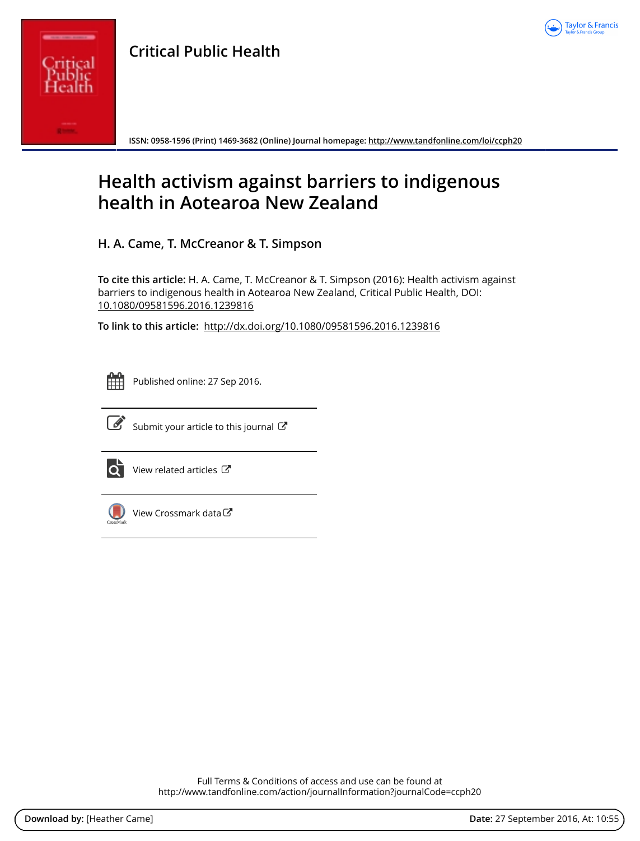

# **Critical Public Health**



**ISSN: 0958-1596 (Print) 1469-3682 (Online) Journal homepage:<http://www.tandfonline.com/loi/ccph20>**

# **Health activism against barriers to indigenous health in Aotearoa New Zealand**

**H. A. Came, T. McCreanor & T. Simpson**

**To cite this article:** H. A. Came, T. McCreanor & T. Simpson (2016): Health activism against barriers to indigenous health in Aotearoa New Zealand, Critical Public Health, DOI: [10.1080/09581596.2016.1239816](http://www.tandfonline.com/action/showCitFormats?doi=10.1080/09581596.2016.1239816)

**To link to this article:** <http://dx.doi.org/10.1080/09581596.2016.1239816>



Published online: 27 Sep 2016.



 $\overrightarrow{S}$  [Submit your article to this journal](http://www.tandfonline.com/action/authorSubmission?journalCode=ccph20&show=instructions)  $\overrightarrow{S}$ 



 $\overrightarrow{Q}$  [View related articles](http://www.tandfonline.com/doi/mlt/10.1080/09581596.2016.1239816)  $\overrightarrow{C}$ 



[View Crossmark data](http://crossmark.crossref.org/dialog/?doi=10.1080/09581596.2016.1239816&domain=pdf&date_stamp=2016-09-27)<sup>で</sup>

Full Terms & Conditions of access and use can be found at <http://www.tandfonline.com/action/journalInformation?journalCode=ccph20>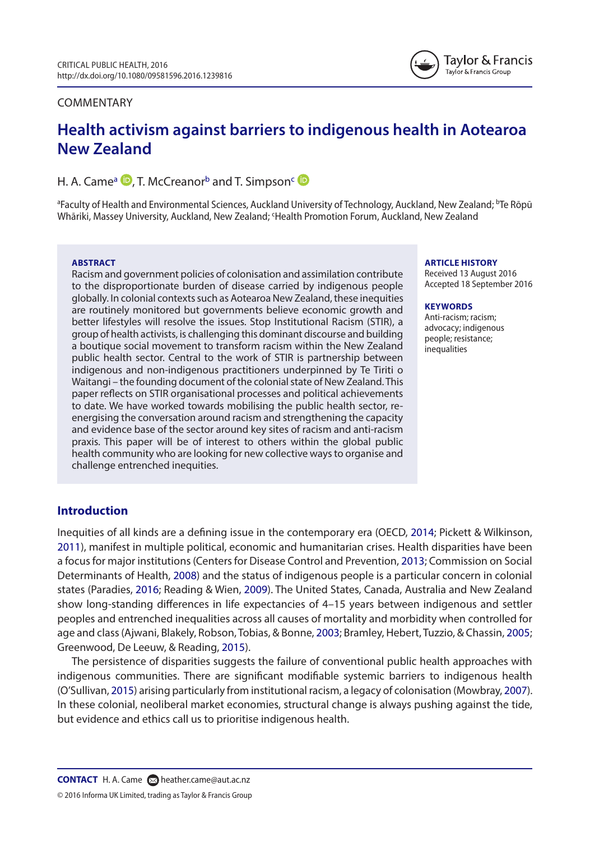

# **COMMENTARY**

# **Health activism against barriers to indigenous health in Aotearoa New Zealand**

H. A. Came<sup>a</sup> **D**. T. McCr[ea](#page-1-0)nor<sup>b</sup> and T. Simpson<sup>c</sup> **D** 

<span id="page-1-2"></span><span id="page-1-1"></span><span id="page-1-0"></span><sup>a</sup>Faculty of Health and Environmental Sciences, Auckland University of Technology, Auckland, New Zealand; <sup>b</sup>Te Rōpū Whāriki, Massey University, Auckland, New Zealand; 'Health Promotion Forum, Auckland, New Zealand

#### **ABSTRACT**

Racism and government policies of colonisation and assimilation contribute to the disproportionate burden of disease carried by indigenous people globally. In colonial contexts such as Aotearoa New Zealand, these inequities are routinely monitored but governments believe economic growth and better lifestyles will resolve the issues. Stop Institutional Racism (STIR), a group of health activists, is challenging this dominant discourse and building a boutique social movement to transform racism within the New Zealand public health sector. Central to the work of STIR is partnership between indigenous and non-indigenous practitioners underpinned by Te Tiriti o Waitangi – the founding document of the colonial state of New Zealand. This paper reflects on STIR organisational processes and political achievements to date. We have worked towards mobilising the public health sector, reenergising the conversation around racism and strengthening the capacity and evidence base of the sector around key sites of racism and anti-racism praxis. This paper will be of interest to others within the global public health community who are looking for new collective ways to organise and challenge entrenched inequities.

# **ARTICLE HISTORY**

Received 13 August 2016 Accepted 18 September 2016

#### **KEYWORDS**

<span id="page-1-13"></span><span id="page-1-9"></span><span id="page-1-8"></span><span id="page-1-5"></span><span id="page-1-4"></span><span id="page-1-3"></span>Anti-racism; racism; advocacy; indigenous people; resistance; inequalities

# **Introduction**

<span id="page-1-12"></span><span id="page-1-11"></span><span id="page-1-6"></span>Inequities of all kinds are a defining issue in the contemporary era (OECD, [2014](#page-7-0); Pickett & Wilkinson, [2011](#page-7-1)), manifest in multiple political, economic and humanitarian crises. Health disparities have been a focus for major institutions (Centers for Disease Control and Prevention, [2013](#page-6-0); Commission on Social Determinants of Health, [2008](#page-6-1)) and the status of indigenous people is a particular concern in colonial states (Paradies, [2016;](#page-7-2) Reading & Wien, [2009\)](#page-7-3). The United States, Canada, Australia and New Zealand show long-standing differences in life expectancies of 4–15 years between indigenous and settler peoples and entrenched inequalities across all causes of mortality and morbidity when controlled for age and class (Ajwani, Blakely, Robson, Tobias, & Bonne, [2003](#page-6-2); Bramley, Hebert, Tuzzio, & Chassin, [2005](#page-6-3); Greenwood, De Leeuw, & Reading, [2015\)](#page-6-4).

<span id="page-1-10"></span><span id="page-1-7"></span>The persistence of disparities suggests the failure of conventional public health approaches with indigenous communities. There are significant modifiable systemic barriers to indigenous health (O'Sullivan, [2015](#page-7-4)) arising particularly from institutional racism, a legacy of colonisation (Mowbray, [2007\)](#page-7-5). In these colonial, neoliberal market economies, structural change is always pushing against the tide, but evidence and ethics call us to prioritise indigenous health.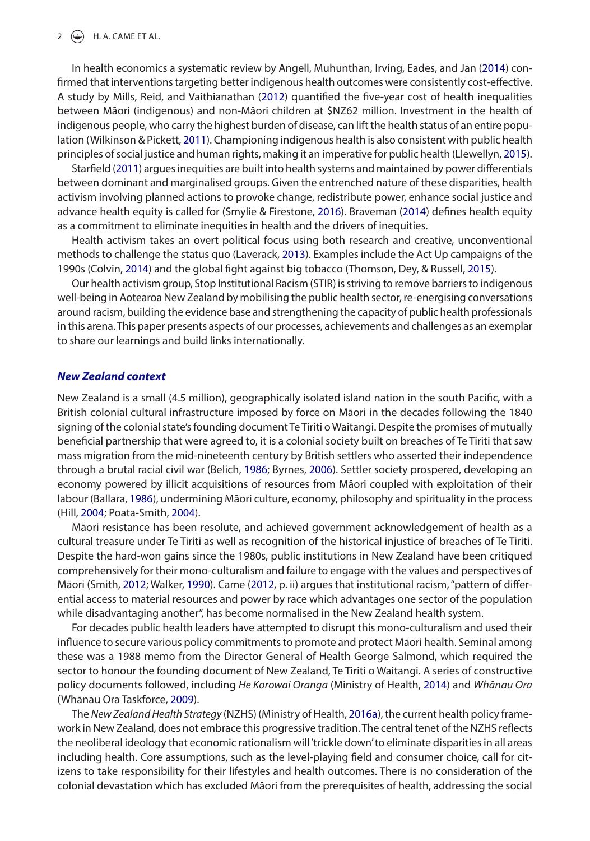#### 2  $\left(\rightarrow\right)$  H. A. CAME ET AL.

<span id="page-2-10"></span><span id="page-2-0"></span>In health economics a systematic review by Angell, Muhunthan, Irving, Eades, and Jan [\(2014\)](#page-6-5) confirmed that interventions targeting better indigenous health outcomes were consistently cost-effective. A study by Mills, Reid, and Vaithianathan ([2012](#page-7-6)) quantified the five-year cost of health inequalities between Māori (indigenous) and non-Māori children at \$NZ62 million. Investment in the health of indigenous people, who carry the highest burden of disease, can lift the health status of an entire population (Wilkinson & Pickett, [2011\)](#page-7-1). Championing indigenous health is also consistent with public health principles of social justice and human rights, making it an imperative for public health (Llewellyn, [2015\)](#page-7-7).

<span id="page-2-16"></span><span id="page-2-9"></span>Starfield ([2011](#page-7-8)) argues inequities are built into health systems and maintained by power differentials between dominant and marginalised groups. Given the entrenched nature of these disparities, health activism involving planned actions to provoke change, redistribute power, enhance social justice and advance health equity is called for (Smylie & Firestone, [2016](#page-7-9)). Braveman ([2014](#page-6-6)) defines health equity as a commitment to eliminate inequities in health and the drivers of inequities.

<span id="page-2-15"></span><span id="page-2-8"></span><span id="page-2-3"></span>Health activism takes an overt political focus using both research and creative, unconventional methods to challenge the status quo (Laverack, [2013\)](#page-6-7). Examples include the Act Up campaigns of the 1990s (Colvin, [2014](#page-6-8)) and the global fight against big tobacco (Thomson, Dey, & Russell, [2015\)](#page-7-10).

<span id="page-2-17"></span><span id="page-2-6"></span>Our health activism group, Stop Institutional Racism (STIR) is striving to remove barriers to indigenous well-being in Aotearoa New Zealand by mobilising the public health sector, re-energising conversations around racism, building the evidence base and strengthening the capacity of public health professionals in this arena. This paper presents aspects of our processes, achievements and challenges as an exemplar to share our learnings and build links internationally.

#### *New Zealand context*

New Zealand is a small (4.5 million), geographically isolated island nation in the south Pacific, with a British colonial cultural infrastructure imposed by force on Māori in the decades following the 1840 signing of the colonial state's founding document Te Tiriti o Waitangi. Despite the promises of mutually beneficial partnership that were agreed to, it is a colonial society built on breaches of Te Tiriti that saw mass migration from the mid-nineteenth century by British settlers who asserted their independence through a brutal racial civil war (Belich, [1986;](#page-6-9) Byrnes, [2006](#page-6-10)). Settler society prospered, developing an economy powered by illicit acquisitions of resources from Māori coupled with exploitation of their labour (Ballara, [1986\)](#page-6-11), undermining Māori culture, economy, philosophy and spirituality in the process (Hill, [2004](#page-6-12); Poata-Smith, [2004\)](#page-7-11).

<span id="page-2-13"></span><span id="page-2-7"></span><span id="page-2-4"></span><span id="page-2-2"></span><span id="page-2-1"></span>Māori resistance has been resolute, and achieved government acknowledgement of health as a cultural treasure under Te Tiriti as well as recognition of the historical injustice of breaches of Te Tiriti. Despite the hard-won gains since the 1980s, public institutions in New Zealand have been critiqued comprehensively for their mono-culturalism and failure to engage with the values and perspectives of Māori (Smith, [2012](#page-7-12); Walker, [1990\)](#page-7-13). Came ([2012](#page-6-13), p. ii) argues that institutional racism, "pattern of differential access to material resources and power by race which advantages one sector of the population while disadvantaging another", has become normalised in the New Zealand health system.

<span id="page-2-18"></span><span id="page-2-14"></span><span id="page-2-5"></span>For decades public health leaders have attempted to disrupt this mono-culturalism and used their influence to secure various policy commitments to promote and protect Māori health. Seminal among these was a 1988 memo from the Director General of Health George Salmond, which required the sector to honour the founding document of New Zealand, Te Tiriti o Waitangi. A series of constructive policy documents followed, including *He Korowai Oranga* (Ministry of Health, [2014\)](#page-7-14) and *Whānau Ora* (Whānau Ora Taskforce, [2009](#page-7-15)).

<span id="page-2-19"></span><span id="page-2-12"></span><span id="page-2-11"></span>The *New Zealand Health Strategy* (NZHS) (Ministry of Health, [2016a\)](#page-7-16), the current health policy framework in New Zealand, does not embrace this progressive tradition. The central tenet of the NZHS reflects the neoliberal ideology that economic rationalism will 'trickle down' to eliminate disparities in all areas including health. Core assumptions, such as the level-playing field and consumer choice, call for citizens to take responsibility for their lifestyles and health outcomes. There is no consideration of the colonial devastation which has excluded Māori from the prerequisites of health, addressing the social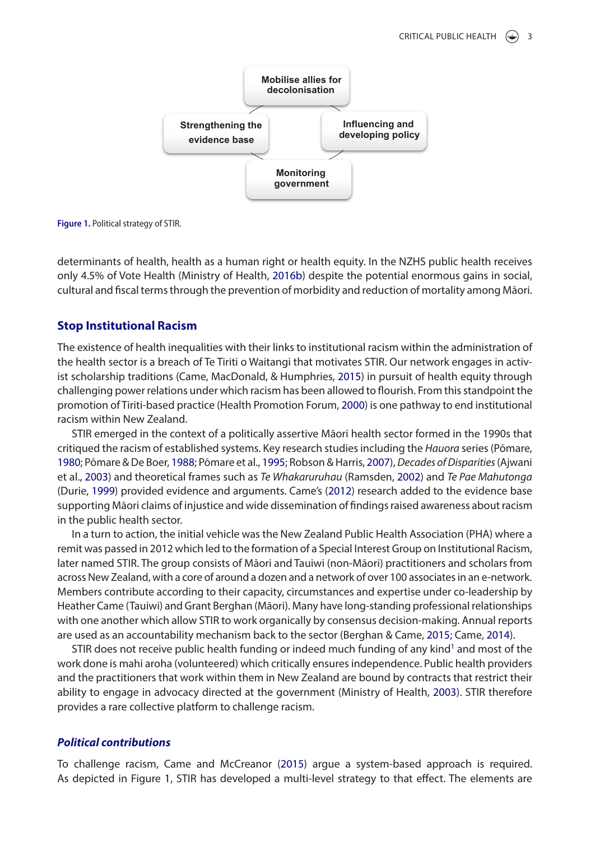<span id="page-3-8"></span>

<span id="page-3-0"></span>**Figure 1.** Political strategy of STIR*.*

determinants of health, health as a human right or health equity. In the NZHS public health receives only 4.5% of Vote Health (Ministry of Health, [2016b\)](#page-7-17) despite the potential enormous gains in social, cultural and fiscal terms through the prevention of morbidity and reduction of mortality among Māori.

# **Stop Institutional Racism**

<span id="page-3-4"></span>The existence of health inequalities with their links to institutional racism within the administration of the health sector is a breach of Te Tiriti o Waitangi that motivates STIR. Our network engages in activist scholarship traditions (Came, MacDonald, & Humphries, [2015](#page-6-14)) in pursuit of health equity through challenging power relations under which racism has been allowed to flourish. From this standpoint the promotion of Tiriti-based practice (Health Promotion Forum, [2000](#page-6-15)) is one pathway to end institutional racism within New Zealand.

<span id="page-3-13"></span><span id="page-3-12"></span><span id="page-3-11"></span><span id="page-3-10"></span><span id="page-3-9"></span><span id="page-3-6"></span>STIR emerged in the context of a politically assertive Māori health sector formed in the 1990s that critiqued the racism of established systems. Key research studies including the *Hauora* series (Pōmare, [1980](#page-7-18); Pōmare & De Boer, [1988;](#page-7-19) Pōmare et al., [1995;](#page-7-20) Robson & Harris, [2007](#page-7-21)), *Decades of Disparities* (Ajwani et al., [2003](#page-6-2)) and theoretical frames such as *Te Whakaruruhau* (Ramsden, [2002\)](#page-7-22) and *Te Pae Mahutonga* (Durie, [1999](#page-6-16)) provided evidence and arguments. Came's ([2012](#page-6-13)) research added to the evidence base supporting Māori claims of injustice and wide dissemination of findings raised awareness about racism in the public health sector.

<span id="page-3-5"></span>In a turn to action, the initial vehicle was the New Zealand Public Health Association (PHA) where a remit was passed in 2012 which led to the formation of a Special Interest Group on Institutional Racism, later named STIR. The group consists of Māori and Tauiwi (non-Māori) practitioners and scholars from across New Zealand, with a core of around a dozen and a network of over 100 associates in an e-network. Members contribute according to their capacity, circumstances and expertise under co-leadership by Heather Came (Tauiwi) and Grant Berghan (Māori). Many have long-standing professional relationships with one another which allow STIR to work organically by consensus decision-making. Annual reports are used as an accountability mechanism back to the sector (Berghan & Came, [2015](#page-6-17); Came, [2014](#page-6-18)).

<span id="page-3-7"></span><span id="page-3-2"></span><span id="page-3-1"></span>STIR does not receive public health funding or indeed much funding of any kind<sup>1</sup> and most of the work done is mahi aroha (volunteered) which critically ensures independence. Public health providers and the practitioners that work within them in New Zealand are bound by contracts that restrict their ability to engage in advocacy directed at the government (Ministry of Health, [2003\)](#page-7-23). STIR therefore provides a rare collective platform to challenge racism.

# *Political contributions*

<span id="page-3-3"></span>To challenge racism, Came and McCreanor ([2015](#page-6-19)) argue a system-based approach is required. As depicted in Figure [1,](#page-3-0) STIR has developed a multi-level strategy to that effect. The elements are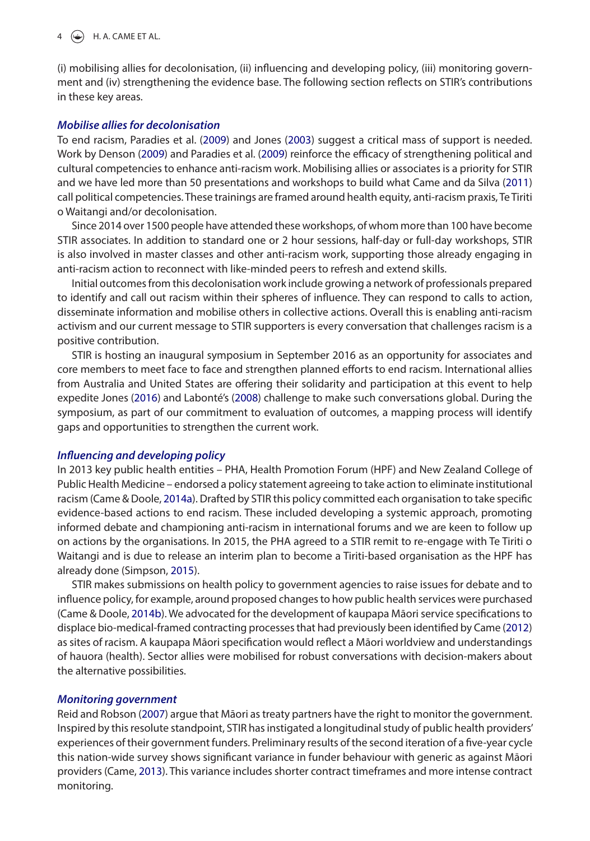(i) mobilising allies for decolonisation, (ii) influencing and developing policy, (iii) monitoring government and (iv) strengthening the evidence base. The following section reflects on STIR's contributions in these key areas.

# *Mobilise allies for decolonisation*

<span id="page-4-8"></span><span id="page-4-5"></span><span id="page-4-4"></span><span id="page-4-1"></span>To end racism, Paradies et al. ([2009](#page-7-24)) and Jones ([2003](#page-6-20)) suggest a critical mass of support is needed. Work by Denson [\(2009\)](#page-6-21) and Paradies et al. [\(2009\)](#page-7-24) reinforce the efficacy of strengthening political and cultural competencies to enhance anti-racism work. Mobilising allies or associates is a priority for STIR and we have led more than 50 presentations and workshops to build what Came and da Silva [\(2011\)](#page-6-22) call political competencies. These trainings are framed around health equity, anti-racism praxis, Te Tiriti o Waitangi and/or decolonisation.

Since 2014 over 1500 people have attended these workshops, of whom more than 100 have become STIR associates. In addition to standard one or 2 hour sessions, half-day or full-day workshops, STIR is also involved in master classes and other anti-racism work, supporting those already engaging in anti-racism action to reconnect with like-minded peers to refresh and extend skills.

Initial outcomes from this decolonisation work include growing a network of professionals prepared to identify and call out racism within their spheres of influence. They can respond to calls to action, disseminate information and mobilise others in collective actions. Overall this is enabling anti-racism activism and our current message to STIR supporters is every conversation that challenges racism is a positive contribution.

<span id="page-4-7"></span><span id="page-4-6"></span>STIR is hosting an inaugural symposium in September 2016 as an opportunity for associates and core members to meet face to face and strengthen planned efforts to end racism. International allies from Australia and United States are offering their solidarity and participation at this event to help expedite Jones [\(2016\)](#page-6-23) and Labonté's [\(2008\)](#page-6-24) challenge to make such conversations global. During the symposium, as part of our commitment to evaluation of outcomes, a mapping process will identify gaps and opportunities to strengthen the current work.

# *Influencing and developing policy*

<span id="page-4-2"></span>In 2013 key public health entities – PHA, Health Promotion Forum (HPF) and New Zealand College of Public Health Medicine – endorsed a policy statement agreeing to take action to eliminate institutional racism (Came & Doole, [2014a\)](#page-6-25). Drafted by STIR this policy committed each organisation to take specific evidence-based actions to end racism. These included developing a systemic approach, promoting informed debate and championing anti-racism in international forums and we are keen to follow up on actions by the organisations. In 2015, the PHA agreed to a STIR remit to re-engage with Te Tiriti o Waitangi and is due to release an interim plan to become a Tiriti-based organisation as the HPF has already done (Simpson, [2015](#page-7-25)).

<span id="page-4-10"></span><span id="page-4-3"></span>STIR makes submissions on health policy to government agencies to raise issues for debate and to influence policy, for example, around proposed changes to how public health services were purchased (Came & Doole, [2014b\)](#page-6-26). We advocated for the development of kaupapa Māori service specifications to displace bio-medical-framed contracting processes that had previously been identified by Came [\(2012\)](#page-6-13) as sites of racism. A kaupapa Māori specification would reflect a Māori worldview and understandings of hauora (health). Sector allies were mobilised for robust conversations with decision-makers about the alternative possibilities.

# *Monitoring government*

<span id="page-4-9"></span><span id="page-4-0"></span>Reid and Robson [\(2007\)](#page-7-26) argue that Māori as treaty partners have the right to monitor the government. Inspired by this resolute standpoint, STIR has instigated a longitudinal study of public health providers' experiences of their government funders. Preliminary results of the second iteration of a five-year cycle this nation-wide survey shows significant variance in funder behaviour with generic as against Māori providers (Came, [2013\)](#page-6-27). This variance includes shorter contract timeframes and more intense contract monitoring.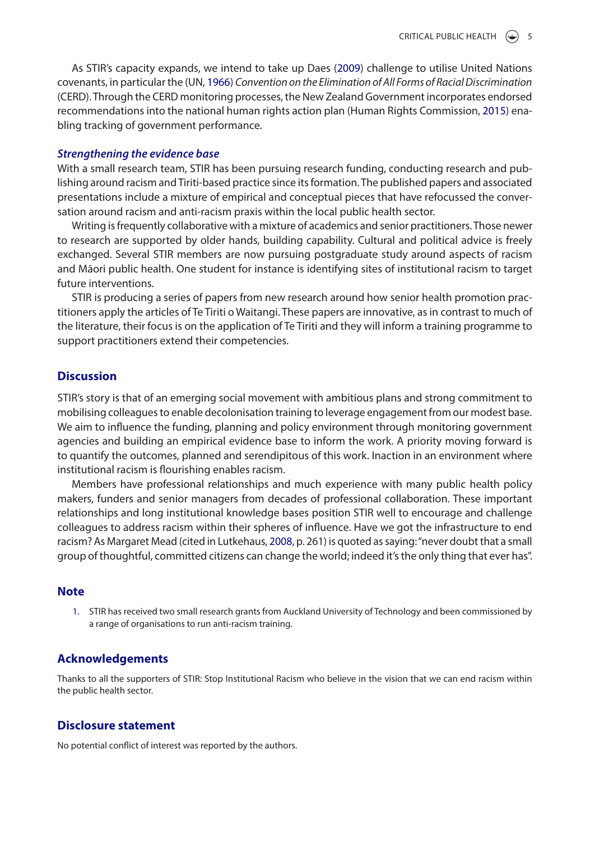<span id="page-5-4"></span><span id="page-5-2"></span><span id="page-5-1"></span>As STIR's capacity expands, we intend to take up Daes ([2009](#page-6-28)) challenge to utilise United Nations covenants, in particular the (UN, [1966\)](#page-7-27) *Convention on the Elimination of All Forms of Racial Discrimination* (CERD). Through the CERD monitoring processes, the New Zealand Government incorporates endorsed recommendations into the national human rights action plan (Human Rights Commission, [2015](#page-6-29)) enabling tracking of government performance.

# *Strengthening the evidence base*

With a small research team, STIR has been pursuing research funding, conducting research and publishing around racism and Tiriti-based practice since its formation. The published papers and associated presentations include a mixture of empirical and conceptual pieces that have refocussed the conversation around racism and anti-racism praxis within the local public health sector.

Writing is frequently collaborative with a mixture of academics and senior practitioners. Those newer to research are supported by older hands, building capability. Cultural and political advice is freely exchanged. Several STIR members are now pursuing postgraduate study around aspects of racism and Māori public health. One student for instance is identifying sites of institutional racism to target future interventions.

STIR is producing a series of papers from new research around how senior health promotion practitioners apply the articles of Te Tiriti o Waitangi. These papers are innovative, as in contrast to much of the literature, their focus is on the application of Te Tiriti and they will inform a training programme to support practitioners extend their competencies.

# **Discussion**

STIR's story is that of an emerging social movement with ambitious plans and strong commitment to mobilising colleagues to enable decolonisation training to leverage engagement from our modest base. We aim to influence the funding, planning and policy environment through monitoring government agencies and building an empirical evidence base to inform the work. A priority moving forward is to quantify the outcomes, planned and serendipitous of this work. Inaction in an environment where institutional racism is flourishing enables racism.

Members have professional relationships and much experience with many public health policy makers, funders and senior managers from decades of professional collaboration. These important relationships and long institutional knowledge bases position STIR well to encourage and challenge colleagues to address racism within their spheres of influence. Have we got the infrastructure to end racism? As Margaret Mead (cited in Lutkehaus, [2008](#page-7-28), p. 261) is quoted as saying: "never doubt that a small group of thoughtful, committed citizens can change the world; indeed it's the only thing that ever has".

# **Note**

<span id="page-5-3"></span><span id="page-5-0"></span>1. STIR has received two small research grants from Auckland University of Technology and been commissioned by a range of organisations to run anti-racism training.

# **Acknowledgements**

Thanks to all the supporters of STIR: Stop Institutional Racism who believe in the vision that we can end racism within the public health sector.

# **Disclosure statement**

No potential conflict of interest was reported by the authors.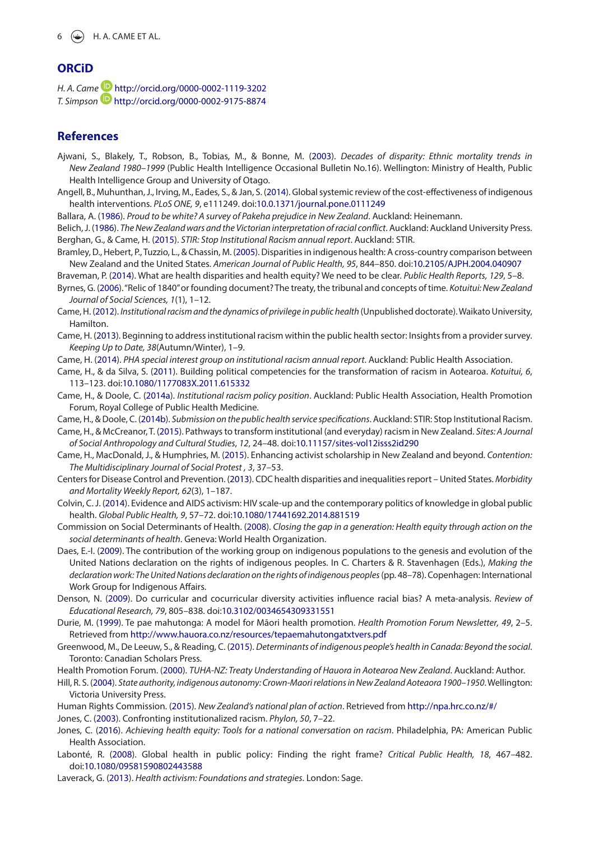# **ORCiD**

*H. A. Cam[e](http://orcid.org)* <http://orcid.org/0000-0002-1119-3202> *T. Simpson* <http://orcid.org/0000-0002-9175-8874>

# **References**

- <span id="page-6-2"></span>Ajwani, S., Blakely, T., Robson, B., Tobias, M., & Bonne, M. ([2003](#page-1-3)). *Decades of disparity: Ethnic mortality trends in New Zealand 1980–1999* (Public Health Intelligence Occasional Bulletin No.16). Wellington: Ministry of Health, Public Health Intelligence Group and University of Otago.
- <span id="page-6-5"></span>Angell, B., Muhunthan, J., Irving, M., Eades, S., & Jan, S. ([2014](#page-2-0)). Global systemic review of the cost-effectiveness of indigenous health interventions. *PLoS ONE, 9*, e111249. doi:[10.0.1371/journal.pone.0111249](http://dx.doi.org/10.0.1371/journal.pone.0111249)
- <span id="page-6-11"></span>Ballara, A. [\(1986\)](#page-2-1). *Proud to be white? A survey of Pakeha prejudice in New Zealand*. Auckland: Heinemann.

<span id="page-6-17"></span><span id="page-6-9"></span>Belich, J. [\(1986](#page-2-2)). *The New Zealand wars and the Victorian interpretation of racial conflict*. Auckland: Auckland University Press. Berghan, G., & Came, H. [\(2015\)](#page-3-1). *STIR: Stop Institutional Racism annual report*. Auckland: STIR.

- <span id="page-6-3"></span>Bramley, D., Hebert, P., Tuzzio, L., & Chassin, M. [\(2005](#page-1-4)). Disparities in indigenous health: A cross-country comparison between New Zealand and the United States. *American Journal of Public Health, 95*, 844–850. doi[:10.2105/AJPH.2004.040907](http://dx.doi.org/10.2105/AJPH.2004.040907)
- <span id="page-6-6"></span>Braveman, P. ([2014\)](#page-2-3). What are health disparities and health equity? We need to be clear. *Public Health Reports, 129*, 5–8.
- <span id="page-6-10"></span>Byrnes, G. [\(2006\)](#page-2-4). "Relic of 1840" or founding document? The treaty, the tribunal and concepts of time. *Kotuitui: New Zealand Journal of Social Sciences, 1*(1), 1–12.
- <span id="page-6-13"></span>Came, H. ([2012\)](#page-2-5). *Institutional racism and the dynamics of privilege in public health* (Unpublished doctorate). Waikato University, Hamilton.
- <span id="page-6-27"></span>Came, H. ([2013](#page-4-0)). Beginning to address institutional racism within the public health sector: Insights from a provider survey. *Keeping Up to Date, 38*(Autumn/Winter), 1–9.
- <span id="page-6-18"></span>Came, H. [\(2014\)](#page-3-2). *PHA special interest group on institutional racism annual report*. Auckland: Public Health Association.
- <span id="page-6-22"></span>Came, H., & da Silva, S. [\(2011\)](#page-4-1). Building political competencies for the transformation of racism in Aotearoa. *Kotuitui, 6*, 113–123. doi[:10.1080/1177083X.2011.615332](http://dx.doi.org/10.1080/1177083X.2011.615332)
- <span id="page-6-25"></span>Came, H., & Doole, C. [\(2014a](#page-4-2)). *Institutional racism policy position*. Auckland: Public Health Association, Health Promotion Forum, Royal College of Public Health Medicine.
- <span id="page-6-26"></span>Came, H., & Doole, C. ([2014b\)](#page-4-3). *Submission on the public health service specifications*. Auckland: STIR: Stop Institutional Racism.
- <span id="page-6-19"></span>Came, H., & McCreanor, T. [\(2015\)](#page-3-3). Pathways to transform institutional (and everyday) racism in New Zealand. *Sites: A Journal of Social Anthropology and Cultural Studies*, *12*, 24–48. doi[:10.11157/sites-vol12isss2id290](http://dx.doi.org/10.11157/sites-vol12isss2id290)
- <span id="page-6-14"></span>Came, H., MacDonald, J., & Humphries, M. ([2015](#page-3-4)). Enhancing activist scholarship in New Zealand and beyond. *Contention: The Multidisciplinary Journal of Social Protest , 3*, 37–53.
- <span id="page-6-0"></span>Centers for Disease Control and Prevention. [\(2013\)](#page-1-5). CDC health disparities and inequalities report – United States. *Morbidity and Mortality Weekly Report, 62*(3), 1–187.
- <span id="page-6-8"></span>Colvin, C. J. ([2014](#page-2-6)). Evidence and AIDS activism: HIV scale-up and the contemporary politics of knowledge in global public health. *Global Public Health, 9*, 57–72. doi[:10.1080/17441692.2014.881519](http://dx.doi.org/10.1080/17441692.2014.881519)
- <span id="page-6-1"></span>Commission on Social Determinants of Health. [\(2008\)](#page-1-6). *Closing the gap in a generation: Health equity through action on the social determinants of health*. Geneva: World Health Organization.
- <span id="page-6-28"></span>Daes, E.-I. [\(2009\)](#page-5-1). The contribution of the working group on indigenous populations to the genesis and evolution of the United Nations declaration on the rights of indigenous peoples. In C. Charters & R. Stavenhagen (Eds.), *Making the declaration work: The United Nations declaration on the rights of indigenous peoples* (pp. 48–78). Copenhagen: International Work Group for Indigenous Affairs.
- <span id="page-6-21"></span>Denson, N. [\(2009\)](#page-4-4). Do curricular and cocurricular diversity activities influence racial bias? A meta-analysis. *Review of Educational Research, 79*, 805–838. doi:[10.3102/0034654309331551](http://dx.doi.org/10.3102/0034654309331551)
- <span id="page-6-16"></span>Durie, M. ([1999](#page-3-5)). Te pae mahutonga: A model for Māori health promotion. *Health Promotion Forum Newsletter, 49*, 2–5. Retrieved from<http://www.hauora.co.nz/resources/tepaemahutongatxtvers.pdf>
- <span id="page-6-4"></span>Greenwood, M., De Leeuw, S., & Reading, C. [\(2015\)](#page-1-7). *Determinants of indigenous people's health in Canada: Beyond the social*. Toronto: Canadian Scholars Press.

<span id="page-6-15"></span>Health Promotion Forum. [\(2000\)](#page-3-6). *TUHA-NZ: Treaty Understanding of Hauora in Aotearoa New Zealand*. Auckland: Author.

- <span id="page-6-12"></span>Hill, R. S. ([2004\)](#page-2-7). *State authority, indigenous autonomy: Crown-Maori relations in New Zealand Aoteaora 1900–1950*. Wellington: Victoria University Press.
- <span id="page-6-29"></span><span id="page-6-20"></span>Human Rights Commission. ([2015](#page-5-2)). *New Zealand's national plan of action*. Retrieved from <http://npa.hrc.co.nz/#/> Jones, C. [\(2003\)](#page-4-5). Confronting institutionalized racism. *Phylon, 50*, 7–22.
- <span id="page-6-23"></span>Jones, C. [\(2016\)](#page-4-6). *Achieving health equity: Tools for a national conversation on racism*. Philadelphia, PA: American Public Health Association.
- <span id="page-6-24"></span>Labonté, R. ([2008](#page-4-7)). Global health in public policy: Finding the right frame? *Critical Public Health, 18*, 467–482. doi[:10.1080/09581590802443588](http://dx.doi.org/10.1080/09581590802443588)
- <span id="page-6-7"></span>Laverack, G. [\(2013\)](#page-2-8). *Health activism: Foundations and strategies*. London: Sage.